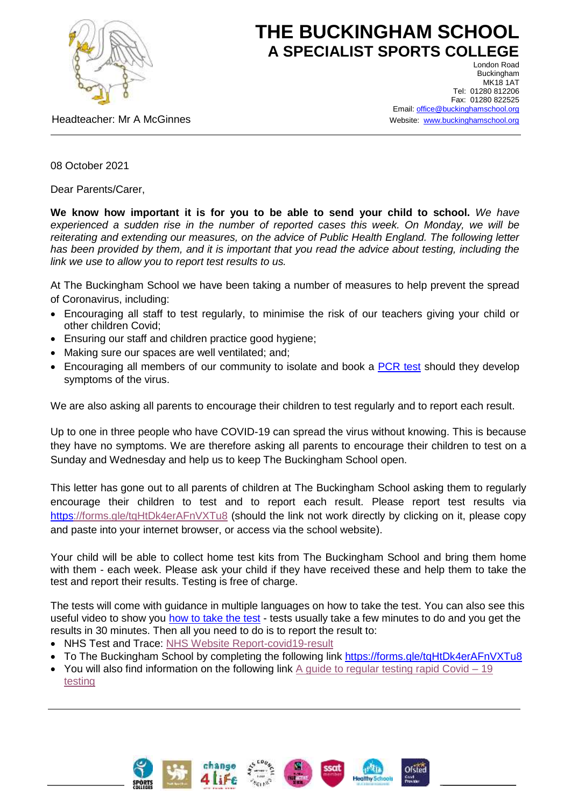

## **THE BUCKINGHAM SCHOOL A SPECIALIST SPORTS COLLEGE** London Road

Headteacher: Mr A McGinnes

**Buckingham MK18 1AT** Tel: 01280 812206 Fax: 01280 822525 Email[: office@buckinghamschool.org](mailto:office@buckinghamschool.org) Website: [www.buckinghamschool.org](http://www.buckinghamschool.org/)

08 October 2021

Dear Parents/Carer,

**We know how important it is for you to be able to send your child to school.** *We have experienced a sudden rise in the number of reported cases this week. On Monday, we will be reiterating and extending our measures, on the advice of Public Health England. The following letter has been provided by them, and it is important that you read the advice about testing, including the link we use to allow you to report test results to us.*

At The Buckingham School we have been taking a number of measures to help prevent the spread of Coronavirus, including:

- Encouraging all staff to test regularly, to minimise the risk of our teachers giving your child or other children Covid;
- Ensuring our staff and children practice good hygiene;
- Making sure our spaces are well ventilated; and:
- Encouraging all members of our community to isolate and book a [PCR test](https://www.gov.uk/get-coronavirus-test) should they develop symptoms of the virus.

We are also asking all parents to encourage their children to test regularly and to report each result.

Up to one in three people who have COVID-19 can spread the virus without knowing. This is because they have no symptoms. We are therefore asking all parents to encourage their children to test on a Sunday and Wednesday and help us to keep The Buckingham School open.

This letter has gone out to all parents of children at The Buckingham School asking them to regularly encourage their children to test and to report each result. Please report test results via <https://forms.gle/tqHtDk4erAFnVXTu8> (should the link not work directly by clicking on it, please copy and paste into your internet browser, or access via the school website).

Your child will be able to collect home test kits from The Buckingham School and bring them home with them - each week. Please ask your child if they have received these and help them to take the test and report their results. Testing is free of charge.

The tests will come with guidance in multiple languages on how to take the test. You can also see this useful video to show you [how to take the test](https://www.gov.uk/guidance/covid-19-self-test-help) - tests usually take a few minutes to do and you get the results in 30 minutes. Then all you need to do is to report the result to:

- NHS Test and Trace: [NHS Website Report-covid19-result](https://www.gov.uk/report-covid19-result)
- To The Buckingham School by completing the following link [https://](https)forms.gle/tgHtDk4erAFnVXTu8
- $\bullet$  You will also find information on the following link A guide to regular testing rapid Covid  $-19$ [testing](https://www.buckinghamschool.org/_site/data/files/files/A%20guide%20to%20regular%20testing.pdf?pid=299)









Ofsted